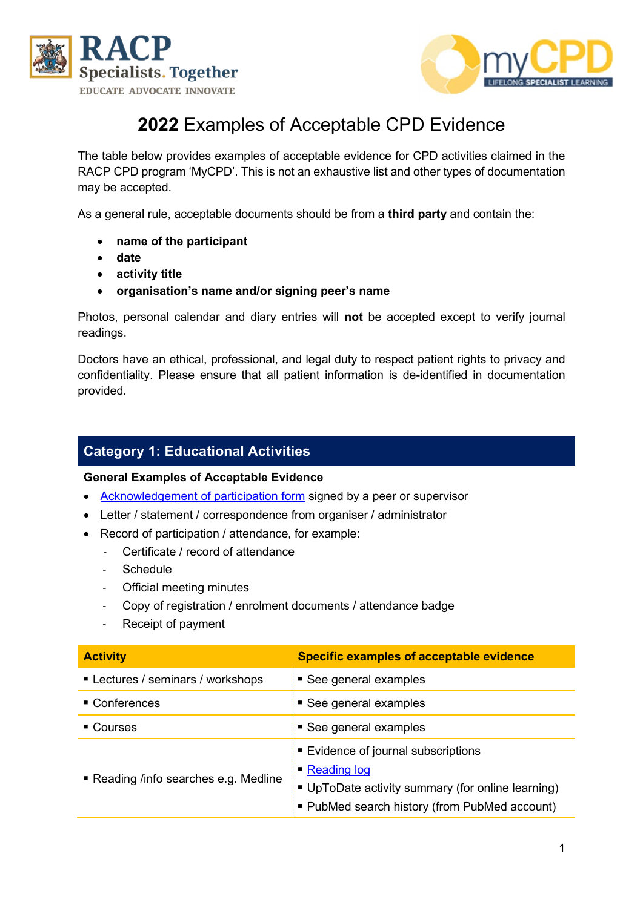



# **2022** Examples of Acceptable CPD Evidence

The table below provides examples of acceptable evidence for CPD activities claimed in the RACP CPD program 'MyCPD'. This is not an exhaustive list and other types of documentation may be accepted.

As a general rule, acceptable documents should be from a **third party** and contain the:

- **name of the participant**
- **date**
- **activity title**
- **organisation's name and/or signing peer's name**

Photos, personal calendar and diary entries will **not** be accepted except to verify journal readings.

Doctors have an ethical, professional, and legal duty to respect patient rights to privacy and confidentiality. Please ensure that all patient information is de-identified in documentation provided.

## **Category 1: Educational Activities**

#### **General Examples of Acceptable Evidence**

- [Acknowledgement of participation form](https://elearning.racp.edu.au/mod/resource/view.php?id=21264) signed by a peer or supervisor
- Letter / statement / correspondence from organiser / administrator
- Record of participation / attendance, for example:
	- Certificate / record of attendance
	- Schedule
	- Official meeting minutes
	- Copy of registration / enrolment documents / attendance badge
	- Receipt of payment

| <b>Activity</b>                       | <b>Specific examples of acceptable evidence</b>                                                                                                            |
|---------------------------------------|------------------------------------------------------------------------------------------------------------------------------------------------------------|
| Lectures / seminars / workshops       | • See general examples                                                                                                                                     |
| ■ Conferences                         | ■ See general examples                                                                                                                                     |
| $\blacksquare$ Courses                | ■ See general examples                                                                                                                                     |
| ■ Reading /info searches e.g. Medline | ■ Evidence of journal subscriptions<br>■ Reading log<br>• UpToDate activity summary (for online learning)<br>■ PubMed search history (from PubMed account) |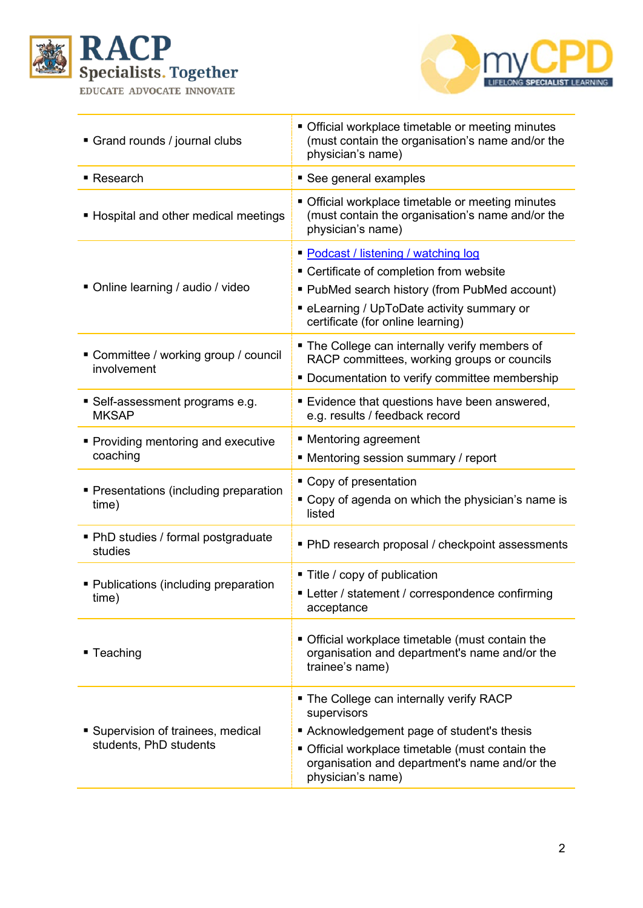



| Grand rounds / journal clubs                                 | • Official workplace timetable or meeting minutes<br>(must contain the organisation's name and/or the<br>physician's name)                                                                                                      |
|--------------------------------------------------------------|---------------------------------------------------------------------------------------------------------------------------------------------------------------------------------------------------------------------------------|
| ■ Research                                                   | See general examples                                                                                                                                                                                                            |
| • Hospital and other medical meetings                        | • Official workplace timetable or meeting minutes<br>(must contain the organisation's name and/or the<br>physician's name)                                                                                                      |
| • Online learning / audio / video                            | • Podcast / listening / watching log<br>• Certificate of completion from website<br>■ PubMed search history (from PubMed account)<br>• eLearning / UpToDate activity summary or<br>certificate (for online learning)            |
| • Committee / working group / council<br>involvement         | • The College can internally verify members of<br>RACP committees, working groups or councils<br>• Documentation to verify committee membership                                                                                 |
| Self-assessment programs e.g.<br><b>MKSAP</b>                | Evidence that questions have been answered,<br>e.g. results / feedback record                                                                                                                                                   |
| • Providing mentoring and executive<br>coaching              | ■ Mentoring agreement<br>• Mentoring session summary / report                                                                                                                                                                   |
| • Presentations (including preparation<br>time)              | • Copy of presentation<br>• Copy of agenda on which the physician's name is<br>listed                                                                                                                                           |
| • PhD studies / formal postgraduate<br>studies               | • PhD research proposal / checkpoint assessments                                                                                                                                                                                |
| • Publications (including preparation<br>time)               | ■ Title / copy of publication<br>■ Letter / statement / correspondence confirming<br>acceptance                                                                                                                                 |
| $\blacksquare$ Teaching                                      | • Official workplace timetable (must contain the<br>organisation and department's name and/or the<br>trainee's name)                                                                                                            |
| • Supervision of trainees, medical<br>students, PhD students | " The College can internally verify RACP<br>supervisors<br>■ Acknowledgement page of student's thesis<br>• Official workplace timetable (must contain the<br>organisation and department's name and/or the<br>physician's name) |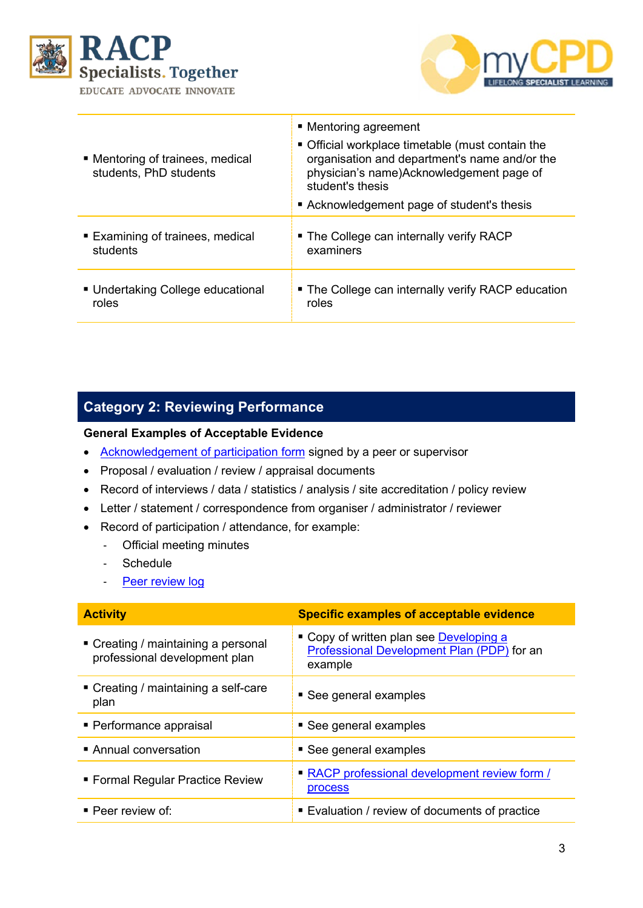



| • Mentoring of trainees, medical<br>students, PhD students | ■ Mentoring agreement                                                                                                                                             |
|------------------------------------------------------------|-------------------------------------------------------------------------------------------------------------------------------------------------------------------|
|                                                            | • Official workplace timetable (must contain the<br>organisation and department's name and/or the<br>physician's name)Acknowledgement page of<br>student's thesis |
|                                                            | Acknowledgement page of student's thesis                                                                                                                          |
| ■ Examining of trainees, medical<br>students               | • The College can internally verify RACP<br>examiners                                                                                                             |
| ■ Undertaking College educational<br>roles                 | • The College can internally verify RACP education<br>roles                                                                                                       |

### **Category 2: Reviewing Performance**

**General Examples of Acceptable Evidence**

- [Acknowledgement of participation form](https://elearning.racp.edu.au/mod/resource/view.php?id=21264) signed by a peer or supervisor
- Proposal / evaluation / review / appraisal documents
- Record of interviews / data / statistics / analysis / site accreditation / policy review
- Letter / statement / correspondence from organiser / administrator / reviewer
- Record of participation / attendance, for example:
	- Official meeting minutes
	- Schedule
	- [Peer review log](https://elearning.racp.edu.au/pluginfile.php/42935/mod_resource/content/1/2020%20CPD%20peer%20review%20log.docx)

| <b>Activity</b>                                                      | <b>Specific examples of acceptable evidence</b>                                                  |
|----------------------------------------------------------------------|--------------------------------------------------------------------------------------------------|
| ■ Creating / maintaining a personal<br>professional development plan | • Copy of written plan see Developing a<br>Professional Development Plan (PDP) for an<br>example |
| ■ Creating / maintaining a self-care<br>plan                         | ■ See general examples                                                                           |
| • Performance appraisal                                              | ■ See general examples                                                                           |
| ■ Annual conversation                                                | ■ See general examples                                                                           |
| ■ Formal Regular Practice Review                                     | • RACP professional development review form /<br>process                                         |
| $\blacksquare$ Peer review of:                                       | ■ Evaluation / review of documents of practice                                                   |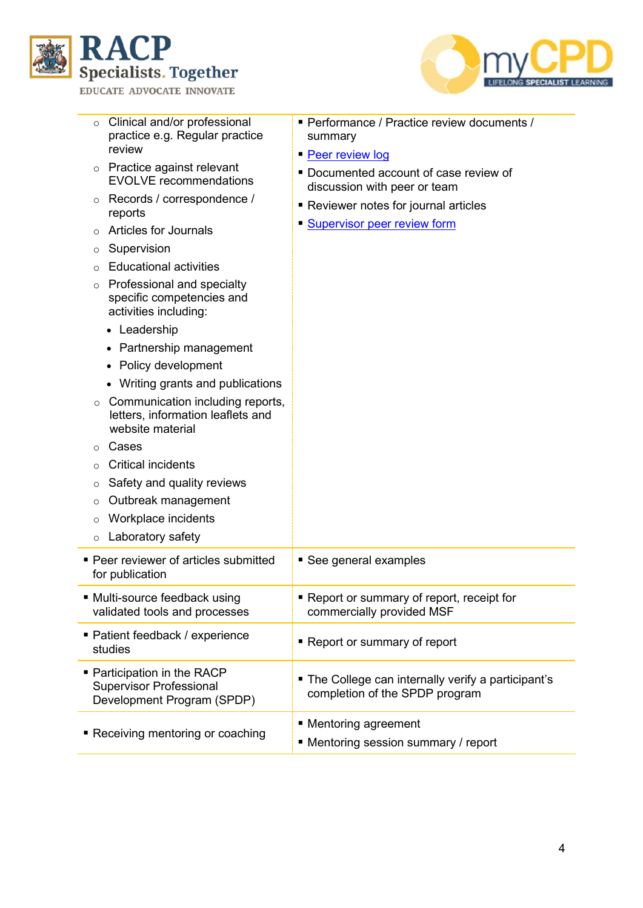





| Clinical and/or professional<br>$\circ$<br>practice e.g. Regular practice                            | ■ Performance / Practice review documents /<br>summary                                    |
|------------------------------------------------------------------------------------------------------|-------------------------------------------------------------------------------------------|
| review<br>o Practice against relevant<br><b>EVOLVE</b> recommendations                               | • Peer review log<br>Documented account of case review of<br>discussion with peer or team |
| Records / correspondence /<br>$\circ$<br>reports                                                     | Reviewer notes for journal articles                                                       |
| <b>Articles for Journals</b><br>$\circ$                                                              | <b>Supervisor peer review form</b><br>п                                                   |
| Supervision<br>$\circ$                                                                               |                                                                                           |
| <b>Educational activities</b><br>$\Omega$                                                            |                                                                                           |
| Professional and specialty<br>$\circ$<br>specific competencies and<br>activities including:          |                                                                                           |
| • Leadership                                                                                         |                                                                                           |
| • Partnership management                                                                             |                                                                                           |
| Policy development                                                                                   |                                                                                           |
| • Writing grants and publications                                                                    |                                                                                           |
| Communication including reports,<br>$\circ$<br>letters, information leaflets and<br>website material |                                                                                           |
| Cases<br>$\circ$                                                                                     |                                                                                           |
| <b>Critical incidents</b><br>$\circ$                                                                 |                                                                                           |
| Safety and quality reviews<br>$\circ$                                                                |                                                                                           |
| Outbreak management<br>$\circ$                                                                       |                                                                                           |
| Workplace incidents<br>$\circ$                                                                       |                                                                                           |
| Laboratory safety<br>$\circ$                                                                         |                                                                                           |
| • Peer reviewer of articles submitted<br>for publication                                             | See general examples                                                                      |
| Multi-source feedback using<br>validated tools and processes                                         | Report or summary of report, receipt for<br>commercially provided MSF                     |
| ■ Patient feedback / experience<br>studies                                                           | ■ Report or summary of report                                                             |
| • Participation in the RACP<br><b>Supervisor Professional</b><br>Development Program (SPDP)          | • The College can internally verify a participant's<br>completion of the SPDP program     |
| ■ Receiving mentoring or coaching                                                                    | ■ Mentoring agreement<br>• Mentoring session summary / report                             |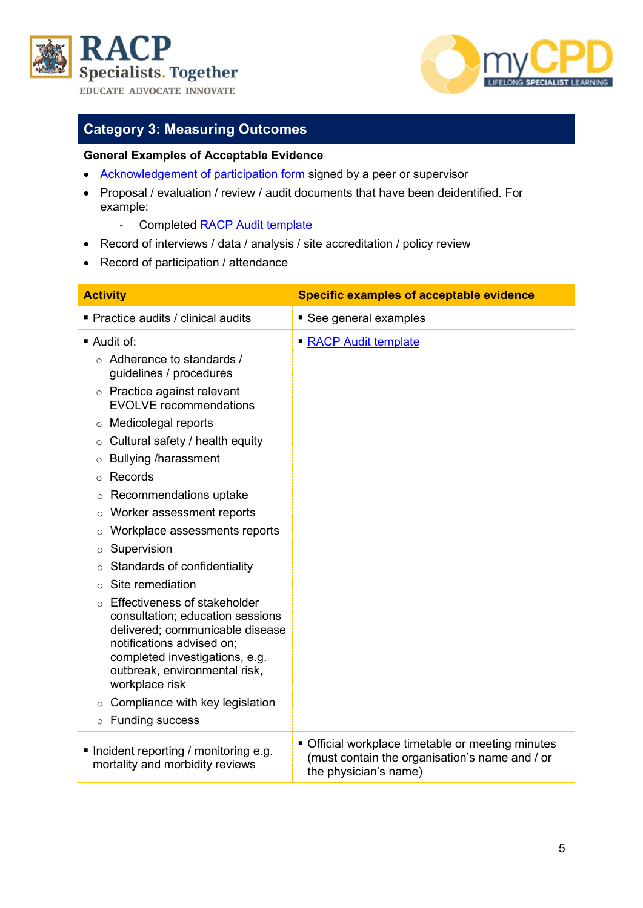



## **Category 3: Measuring Outcomes**

#### **General Examples of Acceptable Evidence**

- [Acknowledgement of participation form](https://elearning.racp.edu.au/mod/resource/view.php?id=21264) signed by a peer or supervisor
- Proposal / evaluation / review / audit documents that have been deidentified. For example:
	- Completed **RACP Audit template**
- Record of interviews / data / analysis / site accreditation / policy review
- Record of participation / attendance

| <b>Activity</b>                                                                                                                                                                                                                                                                                                                                                                                                                                                                                                                                                                                                                                                              | <b>Specific examples of acceptable evidence</b>                                                                              |
|------------------------------------------------------------------------------------------------------------------------------------------------------------------------------------------------------------------------------------------------------------------------------------------------------------------------------------------------------------------------------------------------------------------------------------------------------------------------------------------------------------------------------------------------------------------------------------------------------------------------------------------------------------------------------|------------------------------------------------------------------------------------------------------------------------------|
| • Practice audits / clinical audits                                                                                                                                                                                                                                                                                                                                                                                                                                                                                                                                                                                                                                          | See general examples                                                                                                         |
| Audit of:<br>$\circ$ Adherence to standards /<br>guidelines / procedures<br>○ Practice against relevant<br><b>EVOLVE</b> recommendations<br>Medicolegal reports<br>$\circ$<br>Cultural safety / health equity<br>$\circ$<br><b>Bullying /harassment</b><br>O<br><b>Records</b><br>$\Omega$<br>Recommendations uptake<br>O<br>Worker assessment reports<br>O<br>Workplace assessments reports<br>O<br>Supervision<br>O<br>Standards of confidentiality<br>O<br>Site remediation<br>$\Omega$<br>Effectiveness of stakeholder<br>$\Omega$<br>consultation; education sessions<br>delivered; communicable disease<br>notifications advised on;<br>completed investigations, e.g. | <b>RACP Audit template</b>                                                                                                   |
| workplace risk                                                                                                                                                                                                                                                                                                                                                                                                                                                                                                                                                                                                                                                               |                                                                                                                              |
| outbreak, environmental risk,<br>Compliance with key legislation<br>$\circ$                                                                                                                                                                                                                                                                                                                                                                                                                                                                                                                                                                                                  |                                                                                                                              |
| <b>Funding success</b><br>$\circ$                                                                                                                                                                                                                                                                                                                                                                                                                                                                                                                                                                                                                                            |                                                                                                                              |
| Incident reporting / monitoring e.g.<br>mortality and morbidity reviews                                                                                                                                                                                                                                                                                                                                                                                                                                                                                                                                                                                                      | • Official workplace timetable or meeting minutes<br>(must contain the organisation's name and / or<br>the physician's name) |